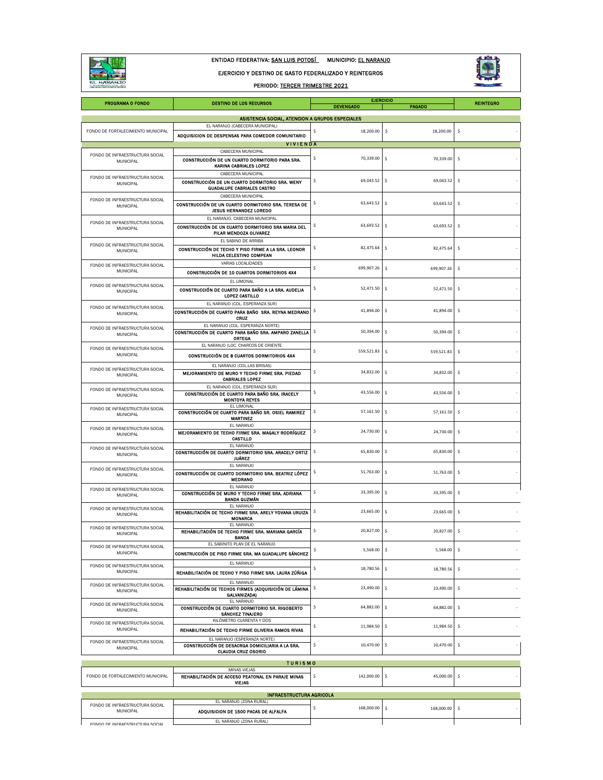

ENTIDAD FEDERATIVA: SAN LUIS POTOSÍ MUNICIPIO: EL NARANJO

EJERCICIO Y DESTINO DE GASTO FEDERALIZADO Y REINTEGROS

PERIODO: TERCER TRIMESTRE 2021



| <b>PROGRAMA O FONDO</b>                                                                | <b>DESTINO DE LOS RECURSOS</b>                                                                                                             | <b>EJERCICIO</b><br><b>DEVENGADO</b> | <b>PAGADO</b>                       | <b>REINTEGRO</b> |  |  |  |  |
|----------------------------------------------------------------------------------------|--------------------------------------------------------------------------------------------------------------------------------------------|--------------------------------------|-------------------------------------|------------------|--|--|--|--|
| ASISTENCIA SOCIAL, ATENCION A GRUPOS ESPECIALES                                        |                                                                                                                                            |                                      |                                     |                  |  |  |  |  |
| EL NARANJO (CABECERA MUNICIPAL)                                                        |                                                                                                                                            |                                      |                                     |                  |  |  |  |  |
| FONDO DE FORTALECIMIENTO MUNICIPAL                                                     | ADQUISICION DE DESPENSAS PARA COMEDOR COMUNITARIO                                                                                          | 18,200.00<br>\$                      | \$<br>18,200.00                     | \$               |  |  |  |  |
|                                                                                        | <b>VIVIENDA</b><br>CABECERA MUNICIPAL                                                                                                      |                                      |                                     |                  |  |  |  |  |
| FONDO DE INFRAESTRUCTURA SOCIAL<br>MUNICIPAL                                           | CONSTRUCCIÓN DE UN CUARTO DORMITORIO PARA SRA.<br>KARINA CABRIALES LOPEZ                                                                   | \$<br>70,339.00                      | \$<br>70,339.00                     | \$               |  |  |  |  |
| FONDO DE INFRAESTRUCTURA SOCIAL<br>MUNICIPAL                                           | CABECERA MUNICIPAL<br>CONSTRUCCIÓN DE UN CUARTO DORMITORIO SRA. WENY<br><b>GUADALUPE CABRIALES CASTRO</b>                                  | \$<br>69,043.52                      | \$<br>69,043.52                     | \$               |  |  |  |  |
| FONDO DE INFRAESTRUCTURA SOCIAL<br>MUNICIPAL                                           | CABECERA MUNICIPAL<br>CONSTRUCCIÓN DE UN CUARTO DORMITORIO SRA. TERESA DE<br><b>JESUS HERNANDEZ LOREDO</b>                                 | \$<br>63,643.52                      | -\$<br>63,643.52                    | \$               |  |  |  |  |
| FONDO DE INFRAESTRUCTURA SOCIAL<br>MUNICIPAL                                           | EL NARANJO, CABECERA MUNICIPAL<br>CONSTRUCCIÓN DE UN CUARTO DORMITORIO SRA MARIA DEL<br>PILAR MENDOZA OLIVAREZ                             | \$<br>63,693.52                      | \$<br>63,693.52                     | \$               |  |  |  |  |
| FONDO DE INFRAESTRUCTURA SOCIAL<br>MUNICIPAL                                           | EL SABINO DE ARRIBA<br>CONSTRUCCIÓN DE TECHO Y PISO FIRME A LA SRA. LEONOR<br>HILDA CELESTINO COMPEAN                                      | \$<br>82,475.64                      | \$<br>82,475.64                     | \$               |  |  |  |  |
| FONDO DE INFRAESTRUCTURA SOCIAL<br>MUNICIPAL                                           | VARIAS LOCALIDADES<br>CONSTRUCCIÓN DE 10 CUARTOS DORMITORIOS 4X4                                                                           | \$<br>699,907.26                     | -\$<br>699,907.26                   | \$               |  |  |  |  |
| FONDO DE INFRAESTRUCTURA SOCIAL<br>MUNICIPAL                                           | EL LIMONAL<br>CONSTRUCCIÓN DE CUARTO PARA BAÑO A LA SRA. AUDELIA<br>LOPEZ CASTILLO                                                         | \$<br>52,471.50                      | \$<br>52,471.50                     | \$               |  |  |  |  |
| FONDO DE INFRAESTRUCTURA SOCIAL<br>MUNICIPAL                                           | EL NARANJO (COL. ESPERANZA SUR)<br>CONSTRUCCIÓN DE CUARTO PARA BAÑO SRA. REYNA MEDRANO<br>CRUZ                                             | \$<br>41,894.00                      | \$<br>41,894.00                     | \$               |  |  |  |  |
| FONDO DE INFRAESTRUCTURA SOCIAL<br>MUNICIPAL                                           | EL NARANJO (COL. ESPERANZA NORTE)<br>CONSTRUCCIÓN DE CUARTO PARA BAÑO SRA. AMPARO ZANELLA<br>ORTEGA<br>EL NARANJO (LOC. CHARCOS DE ORIENTE | -\$<br>50,394.00                     | -S<br>50,394.00                     | \$               |  |  |  |  |
| FONDO DE INFRAESTRUCTURA SOCIAL<br>MUNICIPAL                                           | CONSTRUCCIÓN DE 8 CUARTOS DORMITORIOS 4X4<br>EL NARANJO (COL.LAS BRISAS)                                                                   | \$<br>559.521.83                     | -\$<br>559,521.83                   | \$               |  |  |  |  |
| FONDO DE INFRAESTRUCTURA SOCIAL<br>MUNICIPAL                                           | MEJORAMIENTO DE MURO Y TECHO FIRME SRA, PIEDAD<br><b>CABRIALES LOPEZ</b>                                                                   | \$<br>34,832.00                      | \$<br>34,832.00                     | \$               |  |  |  |  |
| FONDO DE INFRAESTRUCTURA SOCIAL<br>MUNICIPAL                                           | EL NARANJO (COL. ESPERANZA SUR)<br>CONSTRUCCIÓN DE CUARTO PARA BAÑO SRA, IRACELY<br><b>MONTOYA REYES</b><br>EL LIMONAL                     | \$<br>43,556.00                      | -\$<br>43,556.00                    | \$               |  |  |  |  |
| FONDO DE INFRAESTRUCTURA SOCIAL<br>MUNICIPAL                                           | CONSTRUCCIÓN DE CUARTO PARA BAÑO SR. OSIEL RAMIREZ<br>MARTINEZ<br>EL NARANJO                                                               | \$<br>57,161.50                      | s.<br>57,161.50                     | \$               |  |  |  |  |
| FONDO DE INFRAESTRUCTURA SOCIAL<br>MUNICIPAL                                           | MEJORAMIENTO DE TECHO FIRME SRA. MAGALY RODRÍGUEZ<br>CASTILLO                                                                              | \$<br>24,730.00                      | -\$<br>24,730.00                    | \$               |  |  |  |  |
| FONDO DE INFRAESTRUCTURA SOCIAL<br>MUNICIPAL                                           | EL NARANJO<br>CONSTRUCCIÓN DE CUARTO DORMITORIO SRA. ARACELY ORTIZ<br><b>JUÁREZ</b>                                                        | 65,830.00<br>\$                      | -\$<br>65,830.00                    | \$               |  |  |  |  |
| FONDO DE INFRAESTRUCTURA SOCIAL<br>MUNICIPAL                                           | EL NARANJO<br>CONSTRUCCIÓN DE CUARTO DORMITORIO SRA. BEATRIZ LÓPEZ<br><b>MEDRANO</b>                                                       | \$<br>51,763.00                      | s.<br>51,763.00                     | \$               |  |  |  |  |
| FONDO DE INFRAESTRUCTURA SOCIAL<br>MUNICIPAL                                           | EL NARANJO<br>CONSTRUCCIÓN DE MURO Y TECHO FIRME SRA. ADRIANA<br><b>BANDA GUZMÁN</b><br>EL NARANJO                                         | \$<br>33,395.00                      | \$<br>33,395.00                     | \$               |  |  |  |  |
| FONDO DE INFRAESTRUCTURA SOCIAL<br>MUNICIPAL                                           | REHABILITACIÓN DE TECHO FIRME SRA. ARELY YOVANA URUIZA<br>MONARCA<br>EL NARANJO                                                            | \$<br>23,665.00                      | s.<br>23,665.00                     | \$               |  |  |  |  |
| FONDO DE INFRAESTRUCTURA SOCIAL<br><b>MUNICIPAL</b><br>FONDO DE INFRAESTRUCTURA SOCIAL | REHABILITACIÓN DE TECHO FIRME SRA. MARIANA GARCÍA<br><b>BANDA</b><br>EL SABINITO PLAN DE EL NARANJO                                        | \$<br>20,827.00                      | \$<br>20,827.00                     | \$               |  |  |  |  |
| MUNICIPAL<br>FONDO DE INFRAESTRUCTURA SOCIAL                                           | CONSTRUCCIÓN DE PISO FIRME SRA. MA GUADALUPE SÁNCHEZ<br>EL NARANJO                                                                         | \$<br>5,568.00                       | \$.<br>5,568.00                     | \$               |  |  |  |  |
| MUNICIPAL<br>FONDO DE INFRAESTRUCTURA SOCIAL                                           | REHABILITACIÓN DE TECHO Y PISO FIRME SRA. LAURA ZÚÑIGA<br>EL NARANJO                                                                       | \$<br>18,780.56                      | \$<br>18,780.56                     | \$               |  |  |  |  |
| MUNICIPAL<br>FONDO DE INFRAESTRUCTURA SOCIAL                                           | REHABILITACIÓN DE TECHOS FIRMES (ADQUISICIÓN DE LÁMINA<br>GALVANIZADA)<br>EL NARANJO                                                       | \$<br>23,490.00<br>\$                | -\$<br>23,490.00                    | \$               |  |  |  |  |
| MUNICIPAL<br>FONDO DE INFRAESTRUCTURA SOCIAL                                           | CONSTRUCCIÓN DE CUARTO DORMITORIO SR. RIGOBERTO<br><b>SÁNCHEZ TINAJERO</b><br>KILÓMETRO CUARENTA Y DOS                                     | 64,882.00                            | \$<br>64,882.00                     | \$               |  |  |  |  |
| MUNICIPAL<br>FONDO DE INFRAESTRUCTURA SOCIAL                                           | REHABILITACIÓN DE TECHO FIRME OLIVERIA RAMOS RIVAS<br>EL NARANJO (ESPERANZA NORTE)<br>CONSTRUCCIÓN DE DESACRGA DOMICILIARIA A LA SRA.      | \$<br>11,984.50<br>\$<br>10,470.00   | -\$<br>11,984.50<br>\$<br>10.470.00 | \$<br>\$         |  |  |  |  |
| MUNICIPAL                                                                              | <b>CLAUDIA CRUZ OSORIO</b><br><b>TURISMO</b>                                                                                               |                                      |                                     |                  |  |  |  |  |
| FONDO DE FORTALECIMIENTO MUNICIPAL                                                     | MINAS VIEJAS<br>REHABILITACIÓN DE ACCESO PEATONAL EN PARAJE MINAS<br><b>VIEJAS</b>                                                         | 142,000.00<br>\$                     | -\$<br>45,000.00                    | \$               |  |  |  |  |
|                                                                                        | <b>INFRAESTRUCTURA AGRICOLA</b>                                                                                                            |                                      |                                     |                  |  |  |  |  |
| FONDO DE INFRAESTRUCTURA SOCIAL<br>MUNICIPAL                                           | EL NARANJO (ZONA RURAL)<br>ADQUISICION DE 1500 PACAS DE ALFALFA                                                                            | \$<br>168,000.00                     | \$<br>168,000.00                    | \$               |  |  |  |  |
| FONDO DE INFRAFSTRUCTURA SOCIAL                                                        | EL NARANJO (ZONA RURAL)                                                                                                                    |                                      |                                     |                  |  |  |  |  |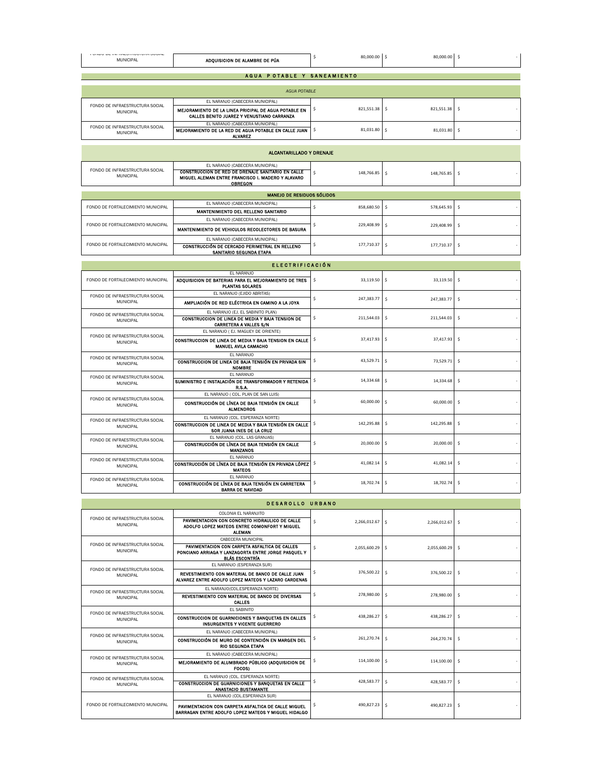| AGUA POTABLE Y SANEAMIENTO<br><b>AGUA POTABLE</b><br>EL NARANJO (CABECERA MUNICIPAL)<br>FONDO DE INFRAESTRUCTURA SOCIAL<br>\$<br>821,551.38<br>$\hat{\mathsf{S}}$<br>821,551.38<br>\$<br>MEJORAMIENTO DE LA LINEA PRICIPAL DE AGUA POTABLE EN<br>MUNICIPAL<br>CALLES BENITO JUAREZ Y VENUSTIANO CARRANZA<br>EL NARANJO (CABECERA MUNICIPAL)<br>FONDO DE INFRAESTRUCTURA SOCIAL<br>\$<br>81,031.80<br>\$<br>\$<br>MEJORAMIENTO DE LA RED DE AGUA POTABLE EN CALLE JUAN<br>81,031.80<br>MUNICIPAL<br><b>ALVAREZ</b><br><b>ALCANTARILLADO Y DRENAJE</b><br>EL NARANJO (CABECERA MUNICIPAL)<br>FONDO DE INFRAESTRUCTURA SOCIAL<br>CONSTRUCCION DE RED DE DRENAJE SANITARIO EN CALLE<br>\$<br>148,766.85<br>\$<br>\$<br>148,765.85<br>MUNICIPAL<br>MIGUEL ALEMAN ENTRE FRANCISCO I. MADERO Y ALAVARO<br><b>OBREGON</b><br>MANEJO DE RESIDUOS SÓLIDOS<br>EL NARANJO (CABECERA MUNICIPAL)<br>FONDO DE FORTALECIMIENTO MUNICIPAL<br>\$<br>858,680.50<br>\$<br>\$<br>578,645.93<br>MANTENIMIENTO DEL RELLENO SANITARIO<br>EL NARANJO (CABECERA MUNICIPAL)<br>FONDO DE FORTALECIMIENTO MUNICIPAL<br>\$<br>229.408.99<br>$\hat{\mathsf{S}}$<br>\$<br>229,408.99<br>MANTENIMIENTO DE VEHICULOS RECOLECTORES DE BASURA<br>EL NARANJO (CABECERA MUNICIPAL)<br>FONDO DE FORTALECIMIENTO MUNICIPAL<br>\$<br>177,710.37<br>-\$<br>177,710.37<br>-\$<br>CONSTRUCCIÓN DE CERCADO PERIMETRAL EN RELLENO<br>SANITARIO SEGUNDA ETAPA<br><b>ELECTRIFICACIÓN</b><br>EL NARANJO<br>FONDO DE FORTALECIMIENTO MUNICIPAL<br>\$<br>\$<br>33,119.50<br>\$<br>33,119.50<br>ADOUISICION DE BATERIAS PARA EL MEJORAMIENTO DE TRES<br><b>PLANTAS SOLARES</b><br>EL NARANJO (EJIDO ABRITAS)<br>FONDO DE INFRAESTRUCTURA SOCIAL<br>\$<br>\$<br>\$<br>247,383.77<br>247,383.77<br>MUNICIPAL<br>AMPLIACIÓN DE RED ELÉCTRICA EN CAMINO A LA JOYA<br>EL NARANJO (EJ. EL SABINITO PLAN)<br>FONDO DE INFRAESTRUCTURA SOCIAL<br>\$<br>\$<br>-\$<br>211.544.03<br>CONSTRUCCION DE LINEA DE MEDIA Y BAJA TENSION DE<br>211,544.03<br>MUNICIPAL<br><b>CARRETERA A VALLES S/N</b><br>EL NARANJO (EJ. MAGUEY DE ORIENTE)<br>FONDO DE INFRAESTRUCTURA SOCIAL<br>\$<br>37,417.93<br>\$<br>\$<br>37,417.93<br>CONSTRUCCION DE LINEA DE MEDIA Y BAJA TENSION EN CALLE<br>MUNICIPAL<br>MANUEL AVILA CAMACHO<br>FI NARANIO<br>FONDO DE INFRAESTRUCTURA SOCIAL<br>\$<br>43,529.71<br>\$<br>\$<br>73,529.71<br>CONSTRUCCION DE LINEA DE BAJA TENSIÓN EN PRIVADA SIN<br>MUNICIPAL<br><b>NOMBRE</b><br>EL NARANJO<br>FONDO DE INFRAESTRUCTURA SOCIAL<br>\$<br>14,334.68<br>\$<br>14,334.68<br>-\$<br>SUMINISTRO E INSTALACIÓN DE TRANSFORMADOR Y RETENIDA<br>MUNICIPAL<br><b>R.S.A.</b><br>EL NARANJO ( COL. PLAN DE SAN LUIS)<br>FONDO DE INFRAESTRUCTURA SOCIAL<br>\$<br>60,000,00<br>\$<br>\$<br>60,000.00<br>CONSTRUCCIÓN DE LÍNEA DE BAJA TENSIÓN EN CALLE<br>MUNICIPAL<br><b>ALMENDROS</b><br>EL NARANJO (COL. ESPERANZA NORTE)<br>FONDO DE INFRAESTRUCTURA SOCIAL<br>\$<br>142,295.88<br>\$<br>\$<br>CONSTRUCCION DE LINEA DE MEDIA Y BAJA TENSIÓN EN CALLE<br>142,295.88<br>MUNICIPAL<br>SOR JUANA INES DE LA CRUZ<br>EL NARANJO (COL. LAS GRANJAS)<br>FONDO DE INFRAESTRUCTURA SOCIAL<br>\$<br>$\hat{\mathsf{s}}$<br>20,000.00<br>\$.<br>20,000.00<br>CONSTRUCCIÓN DE LÍNEA DE BAJA TENSIÓN EN CALLE<br>MUNICIPAL<br><b>MANZANOS</b><br>FI NARANJO<br>FONDO DE INFRAESTRUCTURA SOCIAL<br>\$<br>41,082.14<br>\$<br>\$.<br>CONSTRUCCIÓN DE LÍNEA DE BAJA TENSIÓN EN PRIVADA LÓPEZ<br>41,082.14<br><b>MUNICIPAL</b><br><b>MATEOS</b><br>EL NARANJO<br>FONDO DE INFRAESTRUCTURA SOCIAL<br>\$<br>18,702.74<br>\$<br>18,702.74<br>\$<br>CONSTRUCCIÓN DE LÍNEA DE BAJA TENSIÓN EN CARRETERA<br>MUNICIPAL<br>BARRA DE NAVIDAD<br>DESAROLLO URBANO<br>COLONIA EL NARANJITO<br>FONDO DE INFRAESTRUCTURA SOCIAL<br>PAVIMENTACION CON CONCRETO HIDRAULICO DE CALLE<br>\$<br>2,266,012.67<br>$\mathsf{S}$<br>2,266,012.67<br>\$<br>MUNICIPAL<br>ADOLFO LOPEZ MATEOS ENTRE COMONFORT Y MIGUEL<br><b>ALEMAN</b><br>CABECERA MUNICIPAL<br>FONDO DE INFRAESTRUCTURA SOCIAL<br>PAVIMENTACION CON CARPETA ASFALTICA DE CALLES<br>\$<br>2,055,600.29<br>Ŝ<br>2,055,600.29<br>\$<br>MUNICIPAL<br>PONCIANO ARRIAGA Y LANZAGORTA ENTRE JORGE PASQUEL Y<br><b>BLÁS ESCONTRÍA</b><br>EL NARANJO (ESPERANZA SUR)<br>FONDO DE INFRAESTRUCTURA SOCIAL<br>376,500.22<br>\$<br>-\$<br>376,500.22<br>\$.<br>REVESTIMIENTO CON MATERIAL DE BANCO DE CALLE JUAN<br>MUNICIPAL<br>ALVAREZ ENTRE ADOLFO LOPEZ MATEOS Y LAZARO CARDENAS | FUINDU DE INFRAEJTROUTURA JUURE<br>MUNICIPAL | ADQUISICION DE ALAMBRE DE PÚA | \$<br>80,000.00 \$ | 80,000.00 | -\$ |  |  |  |
|---------------------------------------------------------------------------------------------------------------------------------------------------------------------------------------------------------------------------------------------------------------------------------------------------------------------------------------------------------------------------------------------------------------------------------------------------------------------------------------------------------------------------------------------------------------------------------------------------------------------------------------------------------------------------------------------------------------------------------------------------------------------------------------------------------------------------------------------------------------------------------------------------------------------------------------------------------------------------------------------------------------------------------------------------------------------------------------------------------------------------------------------------------------------------------------------------------------------------------------------------------------------------------------------------------------------------------------------------------------------------------------------------------------------------------------------------------------------------------------------------------------------------------------------------------------------------------------------------------------------------------------------------------------------------------------------------------------------------------------------------------------------------------------------------------------------------------------------------------------------------------------------------------------------------------------------------------------------------------------------------------------------------------------------------------------------------------------------------------------------------------------------------------------------------------------------------------------------------------------------------------------------------------------------------------------------------------------------------------------------------------------------------------------------------------------------------------------------------------------------------------------------------------------------------------------------------------------------------------------------------------------------------------------------------------------------------------------------------------------------------------------------------------------------------------------------------------------------------------------------------------------------------------------------------------------------------------------------------------------------------------------------------------------------------------------------------------------------------------------------------------------------------------------------------------------------------------------------------------------------------------------------------------------------------------------------------------------------------------------------------------------------------------------------------------------------------------------------------------------------------------------------------------------------------------------------------------------------------------------------------------------------------------------------------------------------------------------------------------------------------------------------------------------------------------------------------------------------------------------------------------------------------------------------------------------------------------------------------------------------------------------------------------------------------------------------------------------------------------------------------------------------------------------------------------------------------------------------------------------------------------------------------------------------------------------------------------------------------------------------------------------------------------------------------------------------------|----------------------------------------------|-------------------------------|--------------------|-----------|-----|--|--|--|
|                                                                                                                                                                                                                                                                                                                                                                                                                                                                                                                                                                                                                                                                                                                                                                                                                                                                                                                                                                                                                                                                                                                                                                                                                                                                                                                                                                                                                                                                                                                                                                                                                                                                                                                                                                                                                                                                                                                                                                                                                                                                                                                                                                                                                                                                                                                                                                                                                                                                                                                                                                                                                                                                                                                                                                                                                                                                                                                                                                                                                                                                                                                                                                                                                                                                                                                                                                                                                                                                                                                                                                                                                                                                                                                                                                                                                                                                                                                                                                                                                                                                                                                                                                                                                                                                                                                                                                                                                                                   |                                              |                               |                    |           |     |  |  |  |
|                                                                                                                                                                                                                                                                                                                                                                                                                                                                                                                                                                                                                                                                                                                                                                                                                                                                                                                                                                                                                                                                                                                                                                                                                                                                                                                                                                                                                                                                                                                                                                                                                                                                                                                                                                                                                                                                                                                                                                                                                                                                                                                                                                                                                                                                                                                                                                                                                                                                                                                                                                                                                                                                                                                                                                                                                                                                                                                                                                                                                                                                                                                                                                                                                                                                                                                                                                                                                                                                                                                                                                                                                                                                                                                                                                                                                                                                                                                                                                                                                                                                                                                                                                                                                                                                                                                                                                                                                                                   |                                              |                               |                    |           |     |  |  |  |
|                                                                                                                                                                                                                                                                                                                                                                                                                                                                                                                                                                                                                                                                                                                                                                                                                                                                                                                                                                                                                                                                                                                                                                                                                                                                                                                                                                                                                                                                                                                                                                                                                                                                                                                                                                                                                                                                                                                                                                                                                                                                                                                                                                                                                                                                                                                                                                                                                                                                                                                                                                                                                                                                                                                                                                                                                                                                                                                                                                                                                                                                                                                                                                                                                                                                                                                                                                                                                                                                                                                                                                                                                                                                                                                                                                                                                                                                                                                                                                                                                                                                                                                                                                                                                                                                                                                                                                                                                                                   |                                              |                               |                    |           |     |  |  |  |
|                                                                                                                                                                                                                                                                                                                                                                                                                                                                                                                                                                                                                                                                                                                                                                                                                                                                                                                                                                                                                                                                                                                                                                                                                                                                                                                                                                                                                                                                                                                                                                                                                                                                                                                                                                                                                                                                                                                                                                                                                                                                                                                                                                                                                                                                                                                                                                                                                                                                                                                                                                                                                                                                                                                                                                                                                                                                                                                                                                                                                                                                                                                                                                                                                                                                                                                                                                                                                                                                                                                                                                                                                                                                                                                                                                                                                                                                                                                                                                                                                                                                                                                                                                                                                                                                                                                                                                                                                                                   |                                              |                               |                    |           |     |  |  |  |
|                                                                                                                                                                                                                                                                                                                                                                                                                                                                                                                                                                                                                                                                                                                                                                                                                                                                                                                                                                                                                                                                                                                                                                                                                                                                                                                                                                                                                                                                                                                                                                                                                                                                                                                                                                                                                                                                                                                                                                                                                                                                                                                                                                                                                                                                                                                                                                                                                                                                                                                                                                                                                                                                                                                                                                                                                                                                                                                                                                                                                                                                                                                                                                                                                                                                                                                                                                                                                                                                                                                                                                                                                                                                                                                                                                                                                                                                                                                                                                                                                                                                                                                                                                                                                                                                                                                                                                                                                                                   |                                              |                               |                    |           |     |  |  |  |
|                                                                                                                                                                                                                                                                                                                                                                                                                                                                                                                                                                                                                                                                                                                                                                                                                                                                                                                                                                                                                                                                                                                                                                                                                                                                                                                                                                                                                                                                                                                                                                                                                                                                                                                                                                                                                                                                                                                                                                                                                                                                                                                                                                                                                                                                                                                                                                                                                                                                                                                                                                                                                                                                                                                                                                                                                                                                                                                                                                                                                                                                                                                                                                                                                                                                                                                                                                                                                                                                                                                                                                                                                                                                                                                                                                                                                                                                                                                                                                                                                                                                                                                                                                                                                                                                                                                                                                                                                                                   |                                              |                               |                    |           |     |  |  |  |
|                                                                                                                                                                                                                                                                                                                                                                                                                                                                                                                                                                                                                                                                                                                                                                                                                                                                                                                                                                                                                                                                                                                                                                                                                                                                                                                                                                                                                                                                                                                                                                                                                                                                                                                                                                                                                                                                                                                                                                                                                                                                                                                                                                                                                                                                                                                                                                                                                                                                                                                                                                                                                                                                                                                                                                                                                                                                                                                                                                                                                                                                                                                                                                                                                                                                                                                                                                                                                                                                                                                                                                                                                                                                                                                                                                                                                                                                                                                                                                                                                                                                                                                                                                                                                                                                                                                                                                                                                                                   |                                              |                               |                    |           |     |  |  |  |
|                                                                                                                                                                                                                                                                                                                                                                                                                                                                                                                                                                                                                                                                                                                                                                                                                                                                                                                                                                                                                                                                                                                                                                                                                                                                                                                                                                                                                                                                                                                                                                                                                                                                                                                                                                                                                                                                                                                                                                                                                                                                                                                                                                                                                                                                                                                                                                                                                                                                                                                                                                                                                                                                                                                                                                                                                                                                                                                                                                                                                                                                                                                                                                                                                                                                                                                                                                                                                                                                                                                                                                                                                                                                                                                                                                                                                                                                                                                                                                                                                                                                                                                                                                                                                                                                                                                                                                                                                                                   |                                              |                               |                    |           |     |  |  |  |
|                                                                                                                                                                                                                                                                                                                                                                                                                                                                                                                                                                                                                                                                                                                                                                                                                                                                                                                                                                                                                                                                                                                                                                                                                                                                                                                                                                                                                                                                                                                                                                                                                                                                                                                                                                                                                                                                                                                                                                                                                                                                                                                                                                                                                                                                                                                                                                                                                                                                                                                                                                                                                                                                                                                                                                                                                                                                                                                                                                                                                                                                                                                                                                                                                                                                                                                                                                                                                                                                                                                                                                                                                                                                                                                                                                                                                                                                                                                                                                                                                                                                                                                                                                                                                                                                                                                                                                                                                                                   |                                              |                               |                    |           |     |  |  |  |
|                                                                                                                                                                                                                                                                                                                                                                                                                                                                                                                                                                                                                                                                                                                                                                                                                                                                                                                                                                                                                                                                                                                                                                                                                                                                                                                                                                                                                                                                                                                                                                                                                                                                                                                                                                                                                                                                                                                                                                                                                                                                                                                                                                                                                                                                                                                                                                                                                                                                                                                                                                                                                                                                                                                                                                                                                                                                                                                                                                                                                                                                                                                                                                                                                                                                                                                                                                                                                                                                                                                                                                                                                                                                                                                                                                                                                                                                                                                                                                                                                                                                                                                                                                                                                                                                                                                                                                                                                                                   |                                              |                               |                    |           |     |  |  |  |
|                                                                                                                                                                                                                                                                                                                                                                                                                                                                                                                                                                                                                                                                                                                                                                                                                                                                                                                                                                                                                                                                                                                                                                                                                                                                                                                                                                                                                                                                                                                                                                                                                                                                                                                                                                                                                                                                                                                                                                                                                                                                                                                                                                                                                                                                                                                                                                                                                                                                                                                                                                                                                                                                                                                                                                                                                                                                                                                                                                                                                                                                                                                                                                                                                                                                                                                                                                                                                                                                                                                                                                                                                                                                                                                                                                                                                                                                                                                                                                                                                                                                                                                                                                                                                                                                                                                                                                                                                                                   |                                              |                               |                    |           |     |  |  |  |
|                                                                                                                                                                                                                                                                                                                                                                                                                                                                                                                                                                                                                                                                                                                                                                                                                                                                                                                                                                                                                                                                                                                                                                                                                                                                                                                                                                                                                                                                                                                                                                                                                                                                                                                                                                                                                                                                                                                                                                                                                                                                                                                                                                                                                                                                                                                                                                                                                                                                                                                                                                                                                                                                                                                                                                                                                                                                                                                                                                                                                                                                                                                                                                                                                                                                                                                                                                                                                                                                                                                                                                                                                                                                                                                                                                                                                                                                                                                                                                                                                                                                                                                                                                                                                                                                                                                                                                                                                                                   |                                              |                               |                    |           |     |  |  |  |
|                                                                                                                                                                                                                                                                                                                                                                                                                                                                                                                                                                                                                                                                                                                                                                                                                                                                                                                                                                                                                                                                                                                                                                                                                                                                                                                                                                                                                                                                                                                                                                                                                                                                                                                                                                                                                                                                                                                                                                                                                                                                                                                                                                                                                                                                                                                                                                                                                                                                                                                                                                                                                                                                                                                                                                                                                                                                                                                                                                                                                                                                                                                                                                                                                                                                                                                                                                                                                                                                                                                                                                                                                                                                                                                                                                                                                                                                                                                                                                                                                                                                                                                                                                                                                                                                                                                                                                                                                                                   |                                              |                               |                    |           |     |  |  |  |
|                                                                                                                                                                                                                                                                                                                                                                                                                                                                                                                                                                                                                                                                                                                                                                                                                                                                                                                                                                                                                                                                                                                                                                                                                                                                                                                                                                                                                                                                                                                                                                                                                                                                                                                                                                                                                                                                                                                                                                                                                                                                                                                                                                                                                                                                                                                                                                                                                                                                                                                                                                                                                                                                                                                                                                                                                                                                                                                                                                                                                                                                                                                                                                                                                                                                                                                                                                                                                                                                                                                                                                                                                                                                                                                                                                                                                                                                                                                                                                                                                                                                                                                                                                                                                                                                                                                                                                                                                                                   |                                              |                               |                    |           |     |  |  |  |
|                                                                                                                                                                                                                                                                                                                                                                                                                                                                                                                                                                                                                                                                                                                                                                                                                                                                                                                                                                                                                                                                                                                                                                                                                                                                                                                                                                                                                                                                                                                                                                                                                                                                                                                                                                                                                                                                                                                                                                                                                                                                                                                                                                                                                                                                                                                                                                                                                                                                                                                                                                                                                                                                                                                                                                                                                                                                                                                                                                                                                                                                                                                                                                                                                                                                                                                                                                                                                                                                                                                                                                                                                                                                                                                                                                                                                                                                                                                                                                                                                                                                                                                                                                                                                                                                                                                                                                                                                                                   |                                              |                               |                    |           |     |  |  |  |
|                                                                                                                                                                                                                                                                                                                                                                                                                                                                                                                                                                                                                                                                                                                                                                                                                                                                                                                                                                                                                                                                                                                                                                                                                                                                                                                                                                                                                                                                                                                                                                                                                                                                                                                                                                                                                                                                                                                                                                                                                                                                                                                                                                                                                                                                                                                                                                                                                                                                                                                                                                                                                                                                                                                                                                                                                                                                                                                                                                                                                                                                                                                                                                                                                                                                                                                                                                                                                                                                                                                                                                                                                                                                                                                                                                                                                                                                                                                                                                                                                                                                                                                                                                                                                                                                                                                                                                                                                                                   |                                              |                               |                    |           |     |  |  |  |
|                                                                                                                                                                                                                                                                                                                                                                                                                                                                                                                                                                                                                                                                                                                                                                                                                                                                                                                                                                                                                                                                                                                                                                                                                                                                                                                                                                                                                                                                                                                                                                                                                                                                                                                                                                                                                                                                                                                                                                                                                                                                                                                                                                                                                                                                                                                                                                                                                                                                                                                                                                                                                                                                                                                                                                                                                                                                                                                                                                                                                                                                                                                                                                                                                                                                                                                                                                                                                                                                                                                                                                                                                                                                                                                                                                                                                                                                                                                                                                                                                                                                                                                                                                                                                                                                                                                                                                                                                                                   |                                              |                               |                    |           |     |  |  |  |
|                                                                                                                                                                                                                                                                                                                                                                                                                                                                                                                                                                                                                                                                                                                                                                                                                                                                                                                                                                                                                                                                                                                                                                                                                                                                                                                                                                                                                                                                                                                                                                                                                                                                                                                                                                                                                                                                                                                                                                                                                                                                                                                                                                                                                                                                                                                                                                                                                                                                                                                                                                                                                                                                                                                                                                                                                                                                                                                                                                                                                                                                                                                                                                                                                                                                                                                                                                                                                                                                                                                                                                                                                                                                                                                                                                                                                                                                                                                                                                                                                                                                                                                                                                                                                                                                                                                                                                                                                                                   |                                              |                               |                    |           |     |  |  |  |
|                                                                                                                                                                                                                                                                                                                                                                                                                                                                                                                                                                                                                                                                                                                                                                                                                                                                                                                                                                                                                                                                                                                                                                                                                                                                                                                                                                                                                                                                                                                                                                                                                                                                                                                                                                                                                                                                                                                                                                                                                                                                                                                                                                                                                                                                                                                                                                                                                                                                                                                                                                                                                                                                                                                                                                                                                                                                                                                                                                                                                                                                                                                                                                                                                                                                                                                                                                                                                                                                                                                                                                                                                                                                                                                                                                                                                                                                                                                                                                                                                                                                                                                                                                                                                                                                                                                                                                                                                                                   |                                              |                               |                    |           |     |  |  |  |
|                                                                                                                                                                                                                                                                                                                                                                                                                                                                                                                                                                                                                                                                                                                                                                                                                                                                                                                                                                                                                                                                                                                                                                                                                                                                                                                                                                                                                                                                                                                                                                                                                                                                                                                                                                                                                                                                                                                                                                                                                                                                                                                                                                                                                                                                                                                                                                                                                                                                                                                                                                                                                                                                                                                                                                                                                                                                                                                                                                                                                                                                                                                                                                                                                                                                                                                                                                                                                                                                                                                                                                                                                                                                                                                                                                                                                                                                                                                                                                                                                                                                                                                                                                                                                                                                                                                                                                                                                                                   |                                              |                               |                    |           |     |  |  |  |
|                                                                                                                                                                                                                                                                                                                                                                                                                                                                                                                                                                                                                                                                                                                                                                                                                                                                                                                                                                                                                                                                                                                                                                                                                                                                                                                                                                                                                                                                                                                                                                                                                                                                                                                                                                                                                                                                                                                                                                                                                                                                                                                                                                                                                                                                                                                                                                                                                                                                                                                                                                                                                                                                                                                                                                                                                                                                                                                                                                                                                                                                                                                                                                                                                                                                                                                                                                                                                                                                                                                                                                                                                                                                                                                                                                                                                                                                                                                                                                                                                                                                                                                                                                                                                                                                                                                                                                                                                                                   |                                              |                               |                    |           |     |  |  |  |
|                                                                                                                                                                                                                                                                                                                                                                                                                                                                                                                                                                                                                                                                                                                                                                                                                                                                                                                                                                                                                                                                                                                                                                                                                                                                                                                                                                                                                                                                                                                                                                                                                                                                                                                                                                                                                                                                                                                                                                                                                                                                                                                                                                                                                                                                                                                                                                                                                                                                                                                                                                                                                                                                                                                                                                                                                                                                                                                                                                                                                                                                                                                                                                                                                                                                                                                                                                                                                                                                                                                                                                                                                                                                                                                                                                                                                                                                                                                                                                                                                                                                                                                                                                                                                                                                                                                                                                                                                                                   |                                              |                               |                    |           |     |  |  |  |
|                                                                                                                                                                                                                                                                                                                                                                                                                                                                                                                                                                                                                                                                                                                                                                                                                                                                                                                                                                                                                                                                                                                                                                                                                                                                                                                                                                                                                                                                                                                                                                                                                                                                                                                                                                                                                                                                                                                                                                                                                                                                                                                                                                                                                                                                                                                                                                                                                                                                                                                                                                                                                                                                                                                                                                                                                                                                                                                                                                                                                                                                                                                                                                                                                                                                                                                                                                                                                                                                                                                                                                                                                                                                                                                                                                                                                                                                                                                                                                                                                                                                                                                                                                                                                                                                                                                                                                                                                                                   |                                              |                               |                    |           |     |  |  |  |
|                                                                                                                                                                                                                                                                                                                                                                                                                                                                                                                                                                                                                                                                                                                                                                                                                                                                                                                                                                                                                                                                                                                                                                                                                                                                                                                                                                                                                                                                                                                                                                                                                                                                                                                                                                                                                                                                                                                                                                                                                                                                                                                                                                                                                                                                                                                                                                                                                                                                                                                                                                                                                                                                                                                                                                                                                                                                                                                                                                                                                                                                                                                                                                                                                                                                                                                                                                                                                                                                                                                                                                                                                                                                                                                                                                                                                                                                                                                                                                                                                                                                                                                                                                                                                                                                                                                                                                                                                                                   |                                              |                               |                    |           |     |  |  |  |
|                                                                                                                                                                                                                                                                                                                                                                                                                                                                                                                                                                                                                                                                                                                                                                                                                                                                                                                                                                                                                                                                                                                                                                                                                                                                                                                                                                                                                                                                                                                                                                                                                                                                                                                                                                                                                                                                                                                                                                                                                                                                                                                                                                                                                                                                                                                                                                                                                                                                                                                                                                                                                                                                                                                                                                                                                                                                                                                                                                                                                                                                                                                                                                                                                                                                                                                                                                                                                                                                                                                                                                                                                                                                                                                                                                                                                                                                                                                                                                                                                                                                                                                                                                                                                                                                                                                                                                                                                                                   |                                              |                               |                    |           |     |  |  |  |
|                                                                                                                                                                                                                                                                                                                                                                                                                                                                                                                                                                                                                                                                                                                                                                                                                                                                                                                                                                                                                                                                                                                                                                                                                                                                                                                                                                                                                                                                                                                                                                                                                                                                                                                                                                                                                                                                                                                                                                                                                                                                                                                                                                                                                                                                                                                                                                                                                                                                                                                                                                                                                                                                                                                                                                                                                                                                                                                                                                                                                                                                                                                                                                                                                                                                                                                                                                                                                                                                                                                                                                                                                                                                                                                                                                                                                                                                                                                                                                                                                                                                                                                                                                                                                                                                                                                                                                                                                                                   |                                              |                               |                    |           |     |  |  |  |
|                                                                                                                                                                                                                                                                                                                                                                                                                                                                                                                                                                                                                                                                                                                                                                                                                                                                                                                                                                                                                                                                                                                                                                                                                                                                                                                                                                                                                                                                                                                                                                                                                                                                                                                                                                                                                                                                                                                                                                                                                                                                                                                                                                                                                                                                                                                                                                                                                                                                                                                                                                                                                                                                                                                                                                                                                                                                                                                                                                                                                                                                                                                                                                                                                                                                                                                                                                                                                                                                                                                                                                                                                                                                                                                                                                                                                                                                                                                                                                                                                                                                                                                                                                                                                                                                                                                                                                                                                                                   |                                              |                               |                    |           |     |  |  |  |
|                                                                                                                                                                                                                                                                                                                                                                                                                                                                                                                                                                                                                                                                                                                                                                                                                                                                                                                                                                                                                                                                                                                                                                                                                                                                                                                                                                                                                                                                                                                                                                                                                                                                                                                                                                                                                                                                                                                                                                                                                                                                                                                                                                                                                                                                                                                                                                                                                                                                                                                                                                                                                                                                                                                                                                                                                                                                                                                                                                                                                                                                                                                                                                                                                                                                                                                                                                                                                                                                                                                                                                                                                                                                                                                                                                                                                                                                                                                                                                                                                                                                                                                                                                                                                                                                                                                                                                                                                                                   |                                              |                               |                    |           |     |  |  |  |
|                                                                                                                                                                                                                                                                                                                                                                                                                                                                                                                                                                                                                                                                                                                                                                                                                                                                                                                                                                                                                                                                                                                                                                                                                                                                                                                                                                                                                                                                                                                                                                                                                                                                                                                                                                                                                                                                                                                                                                                                                                                                                                                                                                                                                                                                                                                                                                                                                                                                                                                                                                                                                                                                                                                                                                                                                                                                                                                                                                                                                                                                                                                                                                                                                                                                                                                                                                                                                                                                                                                                                                                                                                                                                                                                                                                                                                                                                                                                                                                                                                                                                                                                                                                                                                                                                                                                                                                                                                                   |                                              |                               |                    |           |     |  |  |  |
|                                                                                                                                                                                                                                                                                                                                                                                                                                                                                                                                                                                                                                                                                                                                                                                                                                                                                                                                                                                                                                                                                                                                                                                                                                                                                                                                                                                                                                                                                                                                                                                                                                                                                                                                                                                                                                                                                                                                                                                                                                                                                                                                                                                                                                                                                                                                                                                                                                                                                                                                                                                                                                                                                                                                                                                                                                                                                                                                                                                                                                                                                                                                                                                                                                                                                                                                                                                                                                                                                                                                                                                                                                                                                                                                                                                                                                                                                                                                                                                                                                                                                                                                                                                                                                                                                                                                                                                                                                                   |                                              |                               |                    |           |     |  |  |  |
|                                                                                                                                                                                                                                                                                                                                                                                                                                                                                                                                                                                                                                                                                                                                                                                                                                                                                                                                                                                                                                                                                                                                                                                                                                                                                                                                                                                                                                                                                                                                                                                                                                                                                                                                                                                                                                                                                                                                                                                                                                                                                                                                                                                                                                                                                                                                                                                                                                                                                                                                                                                                                                                                                                                                                                                                                                                                                                                                                                                                                                                                                                                                                                                                                                                                                                                                                                                                                                                                                                                                                                                                                                                                                                                                                                                                                                                                                                                                                                                                                                                                                                                                                                                                                                                                                                                                                                                                                                                   |                                              |                               |                    |           |     |  |  |  |
|                                                                                                                                                                                                                                                                                                                                                                                                                                                                                                                                                                                                                                                                                                                                                                                                                                                                                                                                                                                                                                                                                                                                                                                                                                                                                                                                                                                                                                                                                                                                                                                                                                                                                                                                                                                                                                                                                                                                                                                                                                                                                                                                                                                                                                                                                                                                                                                                                                                                                                                                                                                                                                                                                                                                                                                                                                                                                                                                                                                                                                                                                                                                                                                                                                                                                                                                                                                                                                                                                                                                                                                                                                                                                                                                                                                                                                                                                                                                                                                                                                                                                                                                                                                                                                                                                                                                                                                                                                                   |                                              |                               |                    |           |     |  |  |  |
|                                                                                                                                                                                                                                                                                                                                                                                                                                                                                                                                                                                                                                                                                                                                                                                                                                                                                                                                                                                                                                                                                                                                                                                                                                                                                                                                                                                                                                                                                                                                                                                                                                                                                                                                                                                                                                                                                                                                                                                                                                                                                                                                                                                                                                                                                                                                                                                                                                                                                                                                                                                                                                                                                                                                                                                                                                                                                                                                                                                                                                                                                                                                                                                                                                                                                                                                                                                                                                                                                                                                                                                                                                                                                                                                                                                                                                                                                                                                                                                                                                                                                                                                                                                                                                                                                                                                                                                                                                                   |                                              |                               |                    |           |     |  |  |  |
|                                                                                                                                                                                                                                                                                                                                                                                                                                                                                                                                                                                                                                                                                                                                                                                                                                                                                                                                                                                                                                                                                                                                                                                                                                                                                                                                                                                                                                                                                                                                                                                                                                                                                                                                                                                                                                                                                                                                                                                                                                                                                                                                                                                                                                                                                                                                                                                                                                                                                                                                                                                                                                                                                                                                                                                                                                                                                                                                                                                                                                                                                                                                                                                                                                                                                                                                                                                                                                                                                                                                                                                                                                                                                                                                                                                                                                                                                                                                                                                                                                                                                                                                                                                                                                                                                                                                                                                                                                                   |                                              |                               |                    |           |     |  |  |  |
|                                                                                                                                                                                                                                                                                                                                                                                                                                                                                                                                                                                                                                                                                                                                                                                                                                                                                                                                                                                                                                                                                                                                                                                                                                                                                                                                                                                                                                                                                                                                                                                                                                                                                                                                                                                                                                                                                                                                                                                                                                                                                                                                                                                                                                                                                                                                                                                                                                                                                                                                                                                                                                                                                                                                                                                                                                                                                                                                                                                                                                                                                                                                                                                                                                                                                                                                                                                                                                                                                                                                                                                                                                                                                                                                                                                                                                                                                                                                                                                                                                                                                                                                                                                                                                                                                                                                                                                                                                                   |                                              |                               |                    |           |     |  |  |  |
|                                                                                                                                                                                                                                                                                                                                                                                                                                                                                                                                                                                                                                                                                                                                                                                                                                                                                                                                                                                                                                                                                                                                                                                                                                                                                                                                                                                                                                                                                                                                                                                                                                                                                                                                                                                                                                                                                                                                                                                                                                                                                                                                                                                                                                                                                                                                                                                                                                                                                                                                                                                                                                                                                                                                                                                                                                                                                                                                                                                                                                                                                                                                                                                                                                                                                                                                                                                                                                                                                                                                                                                                                                                                                                                                                                                                                                                                                                                                                                                                                                                                                                                                                                                                                                                                                                                                                                                                                                                   |                                              |                               |                    |           |     |  |  |  |
|                                                                                                                                                                                                                                                                                                                                                                                                                                                                                                                                                                                                                                                                                                                                                                                                                                                                                                                                                                                                                                                                                                                                                                                                                                                                                                                                                                                                                                                                                                                                                                                                                                                                                                                                                                                                                                                                                                                                                                                                                                                                                                                                                                                                                                                                                                                                                                                                                                                                                                                                                                                                                                                                                                                                                                                                                                                                                                                                                                                                                                                                                                                                                                                                                                                                                                                                                                                                                                                                                                                                                                                                                                                                                                                                                                                                                                                                                                                                                                                                                                                                                                                                                                                                                                                                                                                                                                                                                                                   |                                              |                               |                    |           |     |  |  |  |

|                                                     | <b>BLAS ESCONTRIA</b>                                                                                      |                    |  |               |              |  |
|-----------------------------------------------------|------------------------------------------------------------------------------------------------------------|--------------------|--|---------------|--------------|--|
| FONDO DE INFRAESTRUCTURA SOCIAL                     | EL NARANJO (ESPERANZA SUR)                                                                                 |                    |  |               |              |  |
| <b>MUNICIPAL</b>                                    | REVESTIMIENTO CON MATERIAL DE BANCO DE CALLE JUAN<br>ALVAREZ ENTRE ADOLFO LOPEZ MATEOS Y LAZARO CARDENAS   | 376,500.22 \$      |  |               | 376.500.22 S |  |
| FONDO DE INFRAESTRUCTURA SOCIAL                     | EL NARANJO(COL.ESPERANZA NORTE)                                                                            |                    |  | 278,980.00 \$ |              |  |
| <b>MUNICIPAL</b>                                    | REVESTIMIENTO CON MATERIAL DE BANCO DE DIVERSAS<br><b>CALLES</b>                                           | 278,980.00 \$<br>Ŝ |  |               |              |  |
| FONDO DE INFRAESTRUCTURA SOCIAL                     | EL SABINITO                                                                                                |                    |  | 438.286.27 S  |              |  |
| MUNICIPAL                                           | CONSTRUCCION DE GUARNICIONES Y BANQUETAS EN CALLES<br><b>INSURGENTES Y VICENTE GUERRERO</b>                | 438.286.27 \$      |  |               |              |  |
| FONDO DE INFRAESTRUCTURA SOCIAL                     | EL NARANJO (CABECERA MUNICIPAL)                                                                            | 261.270.74 \$      |  | 264.270.74 S  |              |  |
| <b>MUNICIPAL</b>                                    | CONSTRUCCIÓN DE MURO DE CONTENCIÓN EN MARGEN DEL<br><b>RIO SEGUNDA ETAPA</b>                               |                    |  |               |              |  |
| FONDO DE INFRAESTRUCTURA SOCIAL                     | EL NARANJO (CABECERA MUNICIPAL)                                                                            | $114,100.00$ \ \$  |  |               |              |  |
| <b>MUNICIPAL</b>                                    | MEJORAMIENTO DE ALUMBRADO PÚBLICO (ADOUISICION DE<br><b>FOCOS)</b>                                         |                    |  |               | 114,100.00 S |  |
| FONDO DE INFRAESTRUCTURA SOCIAL<br><b>MUNICIPAL</b> | EL NARANJO (COL. ESPERANZA NORTE)                                                                          | 428.583.77 \$      |  |               |              |  |
|                                                     | CONSTRUCCION DE GUARNICIONES Y BANQUETAS EN CALLE<br>ANASTACIO BUSTAMANTE                                  |                    |  | 428.583.77 S  |              |  |
| FONDO DE FORTAL FCIMIENTO MUNICIPAL                 | EL NARANJO (COL.ESPERANZA SUR)                                                                             |                    |  |               |              |  |
|                                                     | PAVIMENTACION CON CARPETA ASFALTICA DE CALLE MIGUEL<br>BARRAGAN ENTRE ADOLFO LOPEZ MATEOS Y MIGUEL HIDALGO | 490,827.23 \$      |  | 490.827.23 S  |              |  |